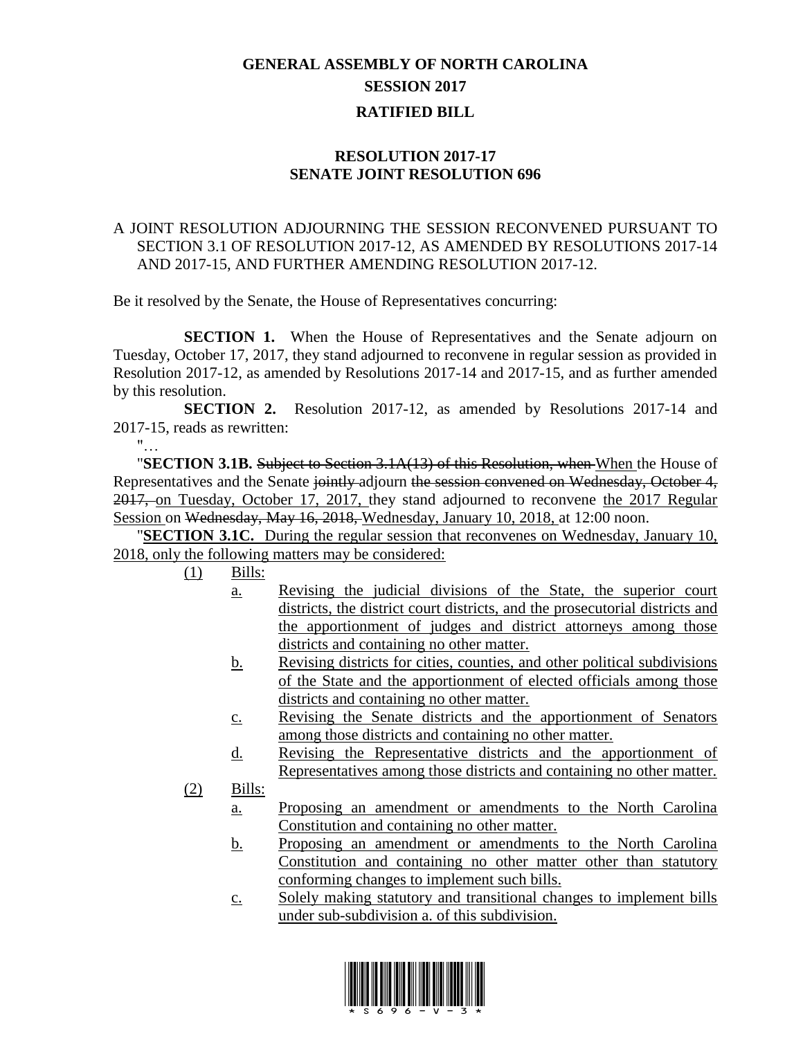## **GENERAL ASSEMBLY OF NORTH CAROLINA SESSION 2017 RATIFIED BILL**

## **RESOLUTION 2017-17 SENATE JOINT RESOLUTION 696**

## A JOINT RESOLUTION ADJOURNING THE SESSION RECONVENED PURSUANT TO SECTION 3.1 OF RESOLUTION 2017-12, AS AMENDED BY RESOLUTIONS 2017-14 AND 2017-15, AND FURTHER AMENDING RESOLUTION 2017-12.

Be it resolved by the Senate, the House of Representatives concurring:

**SECTION 1.** When the House of Representatives and the Senate adjourn on Tuesday, October 17, 2017, they stand adjourned to reconvene in regular session as provided in Resolution 2017-12, as amended by Resolutions 2017-14 and 2017-15, and as further amended by this resolution.

**SECTION 2.** Resolution 2017-12, as amended by Resolutions 2017-14 and 2017-15, reads as rewritten:

 $"$ …

"**SECTION 3.1B.** Subject to Section 3.1A(13) of this Resolution, when When the House of Representatives and the Senate jointly adjourn the session convened on Wednesday, October 4, 2017, on Tuesday, October 17, 2017, they stand adjourned to reconvene the 2017 Regular Session on Wednesday, May 16, 2018, Wednesday, January 10, 2018, at 12:00 noon.

"**SECTION 3.1C.** During the regular session that reconvenes on Wednesday, January 10, 2018, only the following matters may be considered:

 $(1)$  Bills:

- a. Revising the judicial divisions of the State, the superior court districts, the district court districts, and the prosecutorial districts and the apportionment of judges and district attorneys among those districts and containing no other matter.
- b. Revising districts for cities, counties, and other political subdivisions of the State and the apportionment of elected officials among those districts and containing no other matter.
- c. Revising the Senate districts and the apportionment of Senators among those districts and containing no other matter.
- d. Revising the Representative districts and the apportionment of Representatives among those districts and containing no other matter.
- (2) Bills:
	- a. Proposing an amendment or amendments to the North Carolina Constitution and containing no other matter.
	- b. Proposing an amendment or amendments to the North Carolina Constitution and containing no other matter other than statutory conforming changes to implement such bills.
	- c. Solely making statutory and transitional changes to implement bills under sub-subdivision a. of this subdivision.